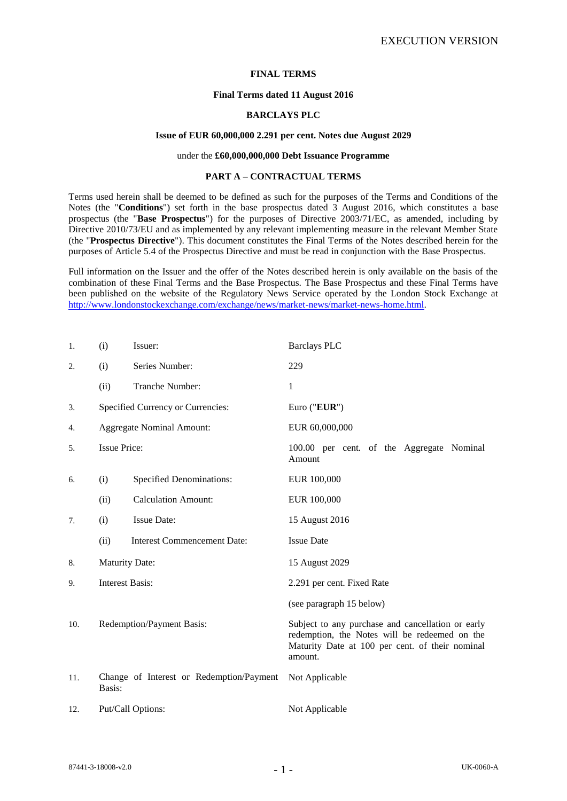#### **FINAL TERMS**

#### **Final Terms dated 11 August 2016**

### **BARCLAYS PLC**

#### **Issue of EUR 60,000,000 2.291 per cent. Notes due August 2029**

### under the **£60,000,000,000 Debt Issuance Programme**

#### **PART A – CONTRACTUAL TERMS**

Terms used herein shall be deemed to be defined as such for the purposes of the Terms and Conditions of the Notes (the "**Conditions**") set forth in the base prospectus dated 3 August 2016, which constitutes a base prospectus (the "**Base Prospectus**") for the purposes of Directive 2003/71/EC, as amended, including by Directive 2010/73/EU and as implemented by any relevant implementing measure in the relevant Member State (the "**Prospectus Directive**"). This document constitutes the Final Terms of the Notes described herein for the purposes of Article 5.4 of the Prospectus Directive and must be read in conjunction with the Base Prospectus.

Full information on the Issuer and the offer of the Notes described herein is only available on the basis of the combination of these Final Terms and the Base Prospectus. The Base Prospectus and these Final Terms have been published on the website of the Regulatory News Service operated by the London Stock Exchange at [http://www.londonstockexchange.com/exchange/news/market-news/market-news-home.html.](http://www.londonstockexchange.com/exchange/news/market-news/market-news-home.html)

| 1.  | (i)                                                | Issuer:                            | <b>Barclays PLC</b>                                                                                                                                              |
|-----|----------------------------------------------------|------------------------------------|------------------------------------------------------------------------------------------------------------------------------------------------------------------|
| 2.  | (i)                                                | Series Number:                     | 229                                                                                                                                                              |
|     | (ii)                                               | Tranche Number:                    | 1                                                                                                                                                                |
| 3.  |                                                    | Specified Currency or Currencies:  | Euro ("EUR")                                                                                                                                                     |
| 4.  |                                                    | <b>Aggregate Nominal Amount:</b>   | EUR 60,000,000                                                                                                                                                   |
| 5.  | <b>Issue Price:</b>                                |                                    | 100.00 per cent. of the Aggregate Nominal<br>Amount                                                                                                              |
| 6.  | (i)                                                | <b>Specified Denominations:</b>    | EUR 100,000                                                                                                                                                      |
|     | (ii)                                               | <b>Calculation Amount:</b>         | EUR 100,000                                                                                                                                                      |
| 7.  | (i)                                                | <b>Issue Date:</b>                 | 15 August 2016                                                                                                                                                   |
|     | (ii)                                               | <b>Interest Commencement Date:</b> | <b>Issue Date</b>                                                                                                                                                |
| 8.  | <b>Maturity Date:</b>                              |                                    | 15 August 2029                                                                                                                                                   |
| 9.  | <b>Interest Basis:</b>                             |                                    | 2.291 per cent. Fixed Rate                                                                                                                                       |
|     |                                                    |                                    | (see paragraph 15 below)                                                                                                                                         |
| 10. | Redemption/Payment Basis:                          |                                    | Subject to any purchase and cancellation or early<br>redemption, the Notes will be redeemed on the<br>Maturity Date at 100 per cent. of their nominal<br>amount. |
| 11. | Change of Interest or Redemption/Payment<br>Basis: |                                    | Not Applicable                                                                                                                                                   |
| 12. | Put/Call Options:                                  |                                    | Not Applicable                                                                                                                                                   |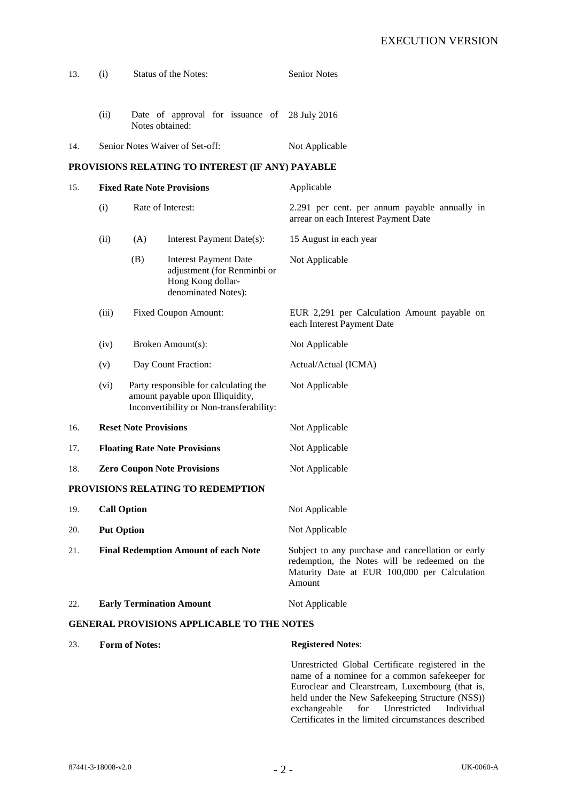| 13.                                               | (i)                                         |                   | Status of the Notes:                                                                                                  | <b>Senior Notes</b>                                                                                                                                          |
|---------------------------------------------------|---------------------------------------------|-------------------|-----------------------------------------------------------------------------------------------------------------------|--------------------------------------------------------------------------------------------------------------------------------------------------------------|
|                                                   | (ii)                                        |                   | Date of approval for issuance of 28 July 2016<br>Notes obtained:                                                      |                                                                                                                                                              |
| 14.                                               |                                             |                   | Senior Notes Waiver of Set-off:                                                                                       | Not Applicable                                                                                                                                               |
|                                                   |                                             |                   | PROVISIONS RELATING TO INTEREST (IF ANY) PAYABLE                                                                      |                                                                                                                                                              |
| 15.                                               | <b>Fixed Rate Note Provisions</b>           |                   |                                                                                                                       | Applicable                                                                                                                                                   |
|                                                   | (i)                                         | Rate of Interest: |                                                                                                                       | 2.291 per cent. per annum payable annually in<br>arrear on each Interest Payment Date                                                                        |
|                                                   | (ii)                                        | (A)               | Interest Payment Date(s):                                                                                             | 15 August in each year                                                                                                                                       |
|                                                   |                                             | (B)               | <b>Interest Payment Date</b><br>adjustment (for Renminbi or<br>Hong Kong dollar-<br>denominated Notes):               | Not Applicable                                                                                                                                               |
|                                                   | (iii)                                       |                   | <b>Fixed Coupon Amount:</b>                                                                                           | EUR 2,291 per Calculation Amount payable on<br>each Interest Payment Date                                                                                    |
|                                                   | (iv)                                        |                   | Broken Amount(s):                                                                                                     | Not Applicable                                                                                                                                               |
|                                                   | (v)                                         |                   | Day Count Fraction:                                                                                                   | Actual/Actual (ICMA)                                                                                                                                         |
|                                                   | (vi)                                        |                   | Party responsible for calculating the<br>amount payable upon Illiquidity,<br>Inconvertibility or Non-transferability: | Not Applicable                                                                                                                                               |
| 16.                                               | <b>Reset Note Provisions</b>                |                   |                                                                                                                       | Not Applicable                                                                                                                                               |
| 17.                                               | <b>Floating Rate Note Provisions</b>        |                   |                                                                                                                       | Not Applicable                                                                                                                                               |
| 18.                                               | <b>Zero Coupon Note Provisions</b>          |                   |                                                                                                                       | Not Applicable                                                                                                                                               |
|                                                   |                                             |                   | PROVISIONS RELATING TO REDEMPTION                                                                                     |                                                                                                                                                              |
| 19.                                               | <b>Call Option</b>                          |                   |                                                                                                                       | Not Applicable                                                                                                                                               |
| 20.                                               | <b>Put Option</b>                           |                   |                                                                                                                       | Not Applicable                                                                                                                                               |
| 21.                                               | <b>Final Redemption Amount of each Note</b> |                   |                                                                                                                       | Subject to any purchase and cancellation or early<br>redemption, the Notes will be redeemed on the<br>Maturity Date at EUR 100,000 per Calculation<br>Amount |
| 22.                                               | <b>Early Termination Amount</b>             |                   |                                                                                                                       | Not Applicable                                                                                                                                               |
| <b>GENERAL PROVISIONS APPLICABLE TO THE NOTES</b> |                                             |                   |                                                                                                                       |                                                                                                                                                              |
| 23.                                               | <b>Form of Notes:</b>                       |                   |                                                                                                                       | <b>Registered Notes:</b>                                                                                                                                     |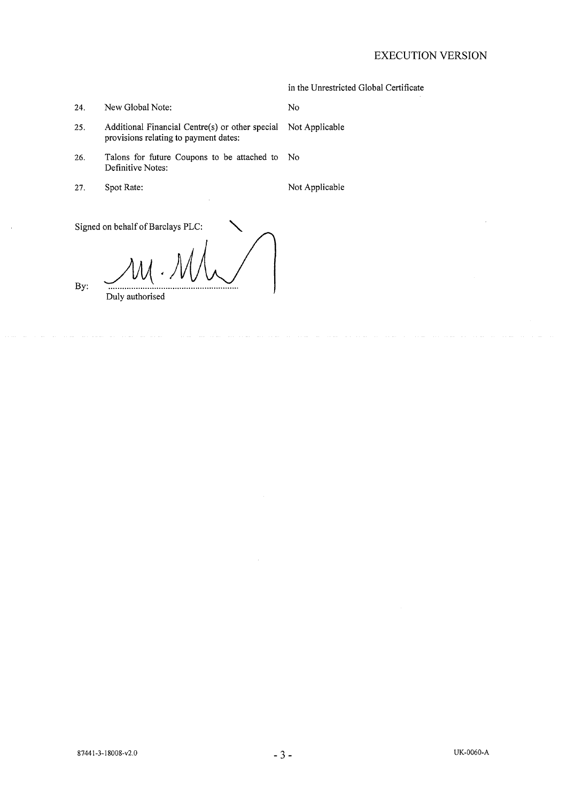# **EXECUTION VERSION**

|     |                                                                                                         | in the Unrestricted Global Certificate |
|-----|---------------------------------------------------------------------------------------------------------|----------------------------------------|
| 24. | New Global Note:                                                                                        | No                                     |
| 25. | Additional Financial Centre(s) or other special Not Applicable<br>provisions relating to payment dates: |                                        |
| 26. | Talons for future Coupons to be attached to No<br>Definitive Notes:                                     |                                        |
| 27. | Spot Rate:                                                                                              | Not Applicable                         |

Signed on behalf of Barclays PLC:

By:

Duly authorised

87441-3-18008-v2.0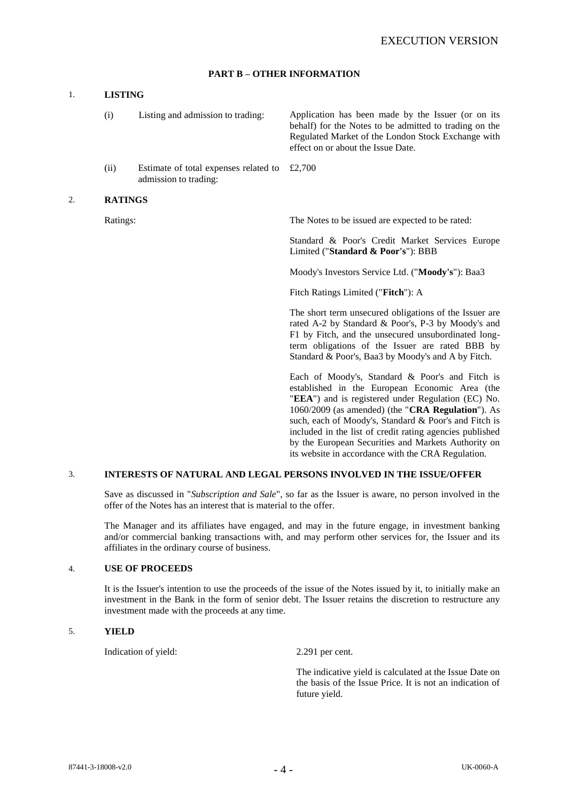# **PART B – OTHER INFORMATION**

# 1. **LISTING**

|    | (i)            | Listing and admission to trading:                              | Application has been made by the Issuer (or on its<br>behalf) for the Notes to be admitted to trading on the<br>Regulated Market of the London Stock Exchange with<br>effect on or about the Issue Date.                                                                                                                                                                                 |
|----|----------------|----------------------------------------------------------------|------------------------------------------------------------------------------------------------------------------------------------------------------------------------------------------------------------------------------------------------------------------------------------------------------------------------------------------------------------------------------------------|
|    | (ii)           | Estimate of total expenses related to<br>admission to trading: | £2,700                                                                                                                                                                                                                                                                                                                                                                                   |
| 2. | <b>RATINGS</b> |                                                                |                                                                                                                                                                                                                                                                                                                                                                                          |
|    | Ratings:       |                                                                | The Notes to be issued are expected to be rated:                                                                                                                                                                                                                                                                                                                                         |
|    |                |                                                                | Standard & Poor's Credit Market Services Europe<br>Limited ("Standard & Poor's"): BBB                                                                                                                                                                                                                                                                                                    |
|    |                |                                                                | Moody's Investors Service Ltd. ("Moody's"): Baa3                                                                                                                                                                                                                                                                                                                                         |
|    |                |                                                                | Fitch Ratings Limited ("Fitch"): A                                                                                                                                                                                                                                                                                                                                                       |
|    |                |                                                                | The short term unsecured obligations of the Issuer are<br>rated A-2 by Standard & Poor's, P-3 by Moody's and<br>F1 by Fitch, and the unsecured unsubordinated long-<br>term obligations of the Issuer are rated BBB by<br>Standard & Poor's, Baa3 by Moody's and A by Fitch.                                                                                                             |
|    |                |                                                                | Each of Moody's, Standard & Poor's and Fitch is<br>established in the European Economic Area (the<br>"EEA") and is registered under Regulation (EC) No.<br>1060/2009 (as amended) (the "CRA Regulation"). As<br>such, each of Moody's, Standard & Poor's and Fitch is<br>included in the list of credit rating agencies published<br>by the European Securities and Markets Authority on |

#### 3. **INTERESTS OF NATURAL AND LEGAL PERSONS INVOLVED IN THE ISSUE/OFFER**

Save as discussed in "*Subscription and Sale*", so far as the Issuer is aware, no person involved in the offer of the Notes has an interest that is material to the offer.

The Manager and its affiliates have engaged, and may in the future engage, in investment banking and/or commercial banking transactions with, and may perform other services for, the Issuer and its affiliates in the ordinary course of business.

#### 4. **USE OF PROCEEDS**

It is the Issuer's intention to use the proceeds of the issue of the Notes issued by it, to initially make an investment in the Bank in the form of senior debt. The Issuer retains the discretion to restructure any investment made with the proceeds at any time.

## 5. **YIELD**

Indication of yield: 2.291 per cent.

The indicative yield is calculated at the Issue Date on the basis of the Issue Price. It is not an indication of future yield.

its website in accordance with the CRA Regulation.